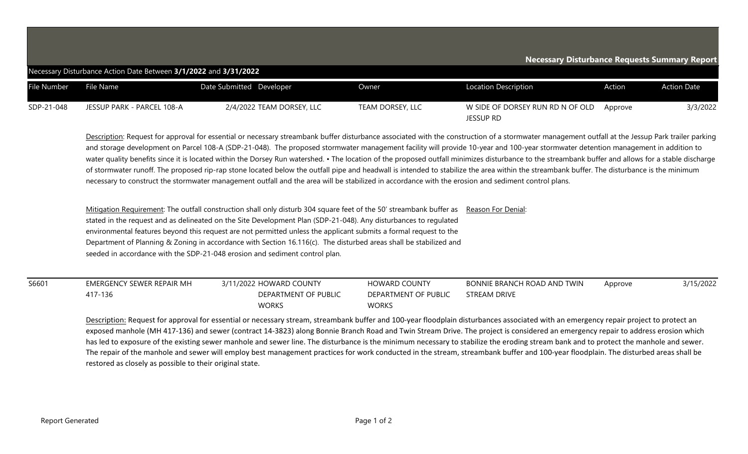| Necessary Disturbance Requests Summary Report<br>Necessary Disturbance Action Date Between 3/1/2022 and 3/31/2022 |                            |                           |                  |                                                      |         |                    |  |  |  |  |  |
|-------------------------------------------------------------------------------------------------------------------|----------------------------|---------------------------|------------------|------------------------------------------------------|---------|--------------------|--|--|--|--|--|
| File Number                                                                                                       | File Name                  | Date Submitted Developer  | Owner            | <b>Location Description</b>                          | Action  | <b>Action Date</b> |  |  |  |  |  |
| SDP-21-048                                                                                                        | JESSUP PARK - PARCEL 108-A | 2/4/2022 TEAM DORSEY, LLC | TEAM DORSEY, LLC | W SIDE OF DORSEY RUN RD N OF OLD<br><b>JESSUP RD</b> | Approve | 3/3/2022           |  |  |  |  |  |

Description: Request for approval for essential or necessary streambank buffer disturbance associated with the construction of a stormwater management outfall at the Jessup Park trailer parking and storage development on Parcel 108-A (SDP-21-048). The proposed stormwater management facility will provide 10-year and 100-year stormwater detention management in addition to water quality benefits since it is located within the Dorsey Run watershed. • The location of the proposed outfall minimizes disturbance to the streambank buffer and allows for a stable discharge of stormwater runoff. The proposed rip-rap stone located below the outfall pipe and headwall is intended to stabilize the area within the streambank buffer. The disturbance is the minimum necessary to construct the stormwater management outfall and the area will be stabilized in accordance with the erosion and sediment control plans.

Mitigation Requirement: The outfall construction shall only disturb 304 square feet of the 50' streambank buffer as stated in the request and as delineated on the Site Development Plan (SDP-21-048). Any disturbances to regulated environmental features beyond this request are not permitted unless the applicant submits a formal request to the Department of Planning & Zoning in accordance with Section 16.116(c). The disturbed areas shall be stabilized and seeded in accordance with the SDP-21-048 erosion and sediment control plan. Reason For Denial:

| S6601 | EMERGENCY SEWER REPAIR MH | 3/11/2022 HOWARD COUNTY | <b>HOWARD COUNTY</b> | BONNIE BRANCH ROAD AND TWIN | Approve | 3/15/2022 |
|-------|---------------------------|-------------------------|----------------------|-----------------------------|---------|-----------|
|       | 417-136                   | DEPARTMENT OF PUBLIC    | DEPARTMENT OF PUBLIC | <b>STREAM DRIVE</b>         |         |           |
|       |                           | <b>WORKS</b>            | <b>WORKS</b>         |                             |         |           |

Description: Request for approval for essential or necessary stream, streambank buffer and 100-year floodplain disturbances associated with an emergency repair project to protect an exposed manhole (MH 417-136) and sewer (contract 14-3823) along Bonnie Branch Road and Twin Stream Drive. The project is considered an emergency repair to address erosion which has led to exposure of the existing sewer manhole and sewer line. The disturbance is the minimum necessary to stabilize the eroding stream bank and to protect the manhole and sewer. The repair of the manhole and sewer will employ best management practices for work conducted in the stream, streambank buffer and 100-year floodplain. The disturbed areas shall be restored as closely as possible to their original state.